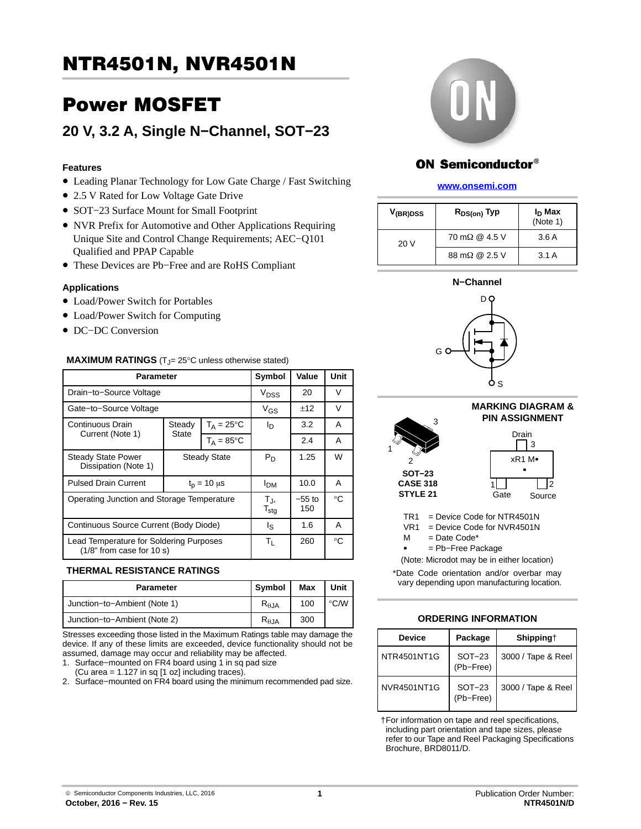# Power MOSFET

# **20 V, 3.2 A, Single N−Channel, SOT−23**

## **Features**

- Leading Planar Technology for Low Gate Charge / Fast Switching
- 2.5 V Rated for Low Voltage Gate Drive
- SOT−23 Surface Mount for Small Footprint
- NVR Prefix for Automotive and Other Applications Requiring Unique Site and Control Change Requirements; AEC−Q101 Qualified and PPAP Capable
- These Devices are Pb−Free and are RoHS Compliant

#### **Applications**

- Load/Power Switch for Portables
- Load/Power Switch for Computing
- DC−DC Conversion

#### **MAXIMUM RATINGS**  $(T_{J} = 25^{\circ}C$  unless otherwise stated)

| <b>Parameter</b>                                                       | Symbol                  | Value              | Unit                  |      |        |
|------------------------------------------------------------------------|-------------------------|--------------------|-----------------------|------|--------|
| Drain-to-Source Voltage                                                | V <sub>DSS</sub>        | 20                 | V                     |      |        |
| Gate-to-Source Voltage                                                 |                         |                    | $V_{GS}$              | ±12  | $\vee$ |
| Continuous Drain                                                       | $T_A = 25$ °C<br>Steady |                    | ΙD                    | 3.2  | A      |
| Current (Note 1)                                                       | <b>State</b>            | $T_A = 85$ °C      |                       | 2.4  | A      |
| <b>Steady State Power</b><br>Dissipation (Note 1)                      | <b>Steady State</b>     |                    | $P_D$                 | 1.25 | W      |
| <b>Pulsed Drain Current</b>                                            |                         | $t_{p} = 10 \mu s$ | <b>I<sub>DM</sub></b> | 10.0 | A      |
| Operating Junction and Storage Temperature                             | TJ,<br>$T_{\text{stg}}$ | $-55$ to<br>150    | $^{\circ}C$           |      |        |
| Continuous Source Current (Body Diode)                                 | ls                      | 1.6                | A                     |      |        |
| Lead Temperature for Soldering Purposes<br>$(1/8"$ from case for 10 s) | $T_{L}$                 | 260                | $^{\circ}C$           |      |        |

### **THERMAL RESISTANCE RATINGS**

| Parameter                    | Symbol          | Max | Unit           |
|------------------------------|-----------------|-----|----------------|
| Junction-to-Ambient (Note 1) | $R_{\theta,JA}$ | 100 | $^{\circ}$ C/W |
| Junction-to-Ambient (Note 2) | $R_{\theta,JA}$ | 300 |                |

Stresses exceeding those listed in the Maximum Ratings table may damage the device. If any of these limits are exceeded, device functionality should not be assumed, damage may occur and reliability may be affected.

- 1. Surface−mounted on FR4 board using 1 in sq pad size
- (Cu area =  $1.127$  in sq  $[1 \text{ oz}]$  including traces).
- 2. Surface−mounted on FR4 board using the minimum recommended pad size.



## ON Semiconductor®

#### **[www.onsemi.com]( http://www.onsemi.com/)**

| V <sub>(BR)DSS</sub> | $R_{DS(on)}$ Typ             | I <sub>D</sub> Max<br>(Note 1) |  |
|----------------------|------------------------------|--------------------------------|--|
| 20V                  | $70 \text{ m}\Omega$ @ 4.5 V | 3.6A                           |  |
|                      | $88 \text{ m}\Omega$ @ 2.5 V | 3.1A                           |  |





**MARKING DIAGRAM & PIN ASSIGNMENT** 3 ٦ Drain

 $\mathsf{I}$ 



TR1 = Device Code for NTR4501N

- VR1 = Device Code for NVR4501N
- $=$  Date Code\*  $M$

**SOT−23 CASE 318 STYLE 21**

3

2

1

= Pb−Free Package

(Note: Microdot may be in either location)

\*Date Code orientation and/or overbar may vary depending upon manufacturing location.

### **ORDERING INFORMATION**

| <b>Device</b>      | Package               | Shipping†          |
|--------------------|-----------------------|--------------------|
| NTR4501NT1G        | $SOT-23$<br>(Pb-Free) | 3000 / Tape & Reel |
| <b>NVR4501NT1G</b> | $SOT-23$<br>(Pb-Free) | 3000 / Tape & Reel |

†For information on tape and reel specifications, including part orientation and tape sizes, please refer to our Tape and Reel Packaging Specifications Brochure, BRD8011/D.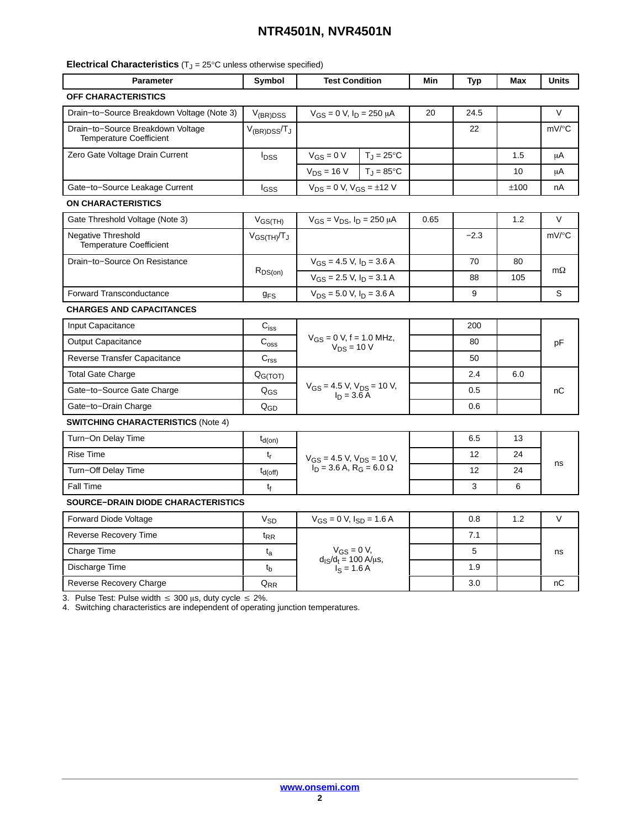| <b>Electrical Characteristics</b> $(T_J = 25^{\circ}C$ unless otherwise specified) |  |  |  |  |  |
|------------------------------------------------------------------------------------|--|--|--|--|--|
|------------------------------------------------------------------------------------|--|--|--|--|--|

| <b>Parameter</b>                                                    | Symbol                  | <b>Test Condition</b>                                           |                       | Min  | <b>Typ</b> | Max  | Units     |
|---------------------------------------------------------------------|-------------------------|-----------------------------------------------------------------|-----------------------|------|------------|------|-----------|
| OFF CHARACTERISTICS                                                 |                         |                                                                 |                       |      |            |      |           |
| Drain-to-Source Breakdown Voltage (Note 3)                          | $V_{(BR)DSS}$           | $V_{GS} = 0$ V, $I_D = 250 \mu A$                               |                       | 20   | 24.5       |      | $\vee$    |
| Drain-to-Source Breakdown Voltage<br><b>Temperature Coefficient</b> | $V_{(BR)DSS}/T_J$       |                                                                 |                       |      | 22         |      | mV/°C     |
| Zero Gate Voltage Drain Current                                     | <b>I</b> <sub>DSS</sub> | $V_{GS} = 0 V$                                                  | $T_J = 25^{\circ}C$   |      |            | 1.5  | μA        |
|                                                                     |                         | $V_{DS} = 16 V$                                                 | $T_{J} = 85^{\circ}C$ |      |            | 10   | μA        |
| Gate-to-Source Leakage Current                                      | lgss                    | $V_{DS} = 0$ V, $V_{GS} = \pm 12$ V                             |                       |      |            | ±100 | nA        |
| <b>ON CHARACTERISTICS</b>                                           |                         |                                                                 |                       |      |            |      |           |
| Gate Threshold Voltage (Note 3)                                     | $V_{GS(TH)}$            | $V_{GS} = V_{DS}$ , $I_D = 250 \mu A$                           |                       | 0.65 |            | 1.2  | $\vee$    |
| <b>Negative Threshold</b><br><b>Temperature Coefficient</b>         | $V_{GS(TH)}/T_J$        |                                                                 |                       |      | $-2.3$     |      | mV/°C     |
| Drain-to-Source On Resistance                                       |                         | $V_{GS}$ = 4.5 V, $I_D$ = 3.6 A                                 |                       |      | 70         | 80   | $m\Omega$ |
|                                                                     | $R_{DS(on)}$            | $V_{GS}$ = 2.5 V, $I_D$ = 3.1 A                                 |                       |      | 88         | 105  |           |
| <b>Forward Transconductance</b>                                     | <b>g<sub>FS</sub></b>   | $V_{DS}$ = 5.0 V, $I_D$ = 3.6 A                                 |                       |      | 9          |      | S         |
| <b>CHARGES AND CAPACITANCES</b>                                     |                         |                                                                 |                       |      |            |      |           |
| Input Capacitance                                                   | $C_{iss}$               |                                                                 |                       |      | 200        |      |           |
| <b>Output Capacitance</b>                                           | $C_{\rm oss}$           | $V_{GS} = 0$ V, f = 1.0 MHz,<br>$V_{DS}$ = 10 V                 |                       |      | 80         |      | pF        |
| Reverse Transfer Capacitance                                        | $C_{\text{rss}}$        |                                                                 |                       |      | 50         |      |           |
| <b>Total Gate Charge</b>                                            | Q <sub>G(TOT)</sub>     | $V_{GS}$ = 4.5 V, $V_{DS}$ = 10 V,<br>$I_D$ = 3.6 A             |                       |      | 2.4        | 6.0  | nC        |
| Gate-to-Source Gate Charge                                          | $Q_{GS}$                |                                                                 |                       |      | 0.5        |      |           |
| Gate-to-Drain Charge                                                | $Q_{GD}$                |                                                                 |                       |      | 0.6        |      |           |
| <b>SWITCHING CHARACTERISTICS (Note 4)</b>                           |                         |                                                                 |                       |      |            |      |           |
| Turn-On Delay Time                                                  | $t_{d(on)}$             |                                                                 |                       |      | 6.5        | 13   |           |
| Rise Time                                                           | $t_{r}$                 | $V_{GS}$ = 4.5 V, $V_{DS}$ = 10 V,                              |                       |      | 12         | 24   | ns        |
| Turn-Off Delay Time                                                 | $t_{d(off)}$            | $I_D = 3.6$ A, R <sub>G</sub> = 6.0 $\Omega$                    |                       |      | 12         | 24   |           |
| Fall Time                                                           | t <sub>f</sub>          |                                                                 |                       |      | 3          | 6    |           |
| <b>SOURCE-DRAIN DIODE CHARACTERISTICS</b>                           |                         |                                                                 |                       |      |            |      |           |
| <b>Forward Diode Voltage</b>                                        | <b>V<sub>SD</sub></b>   | $V_{GS} = 0$ V, $I_{SD} = 1.6$ A                                |                       |      | 0.8        | 1.2  | V         |
| <b>Reverse Recovery Time</b>                                        | $t_{RR}$                | $V_{GS} = 0 V,$<br>$d_{1S}/d_t = 100 A/\mu s,$<br>$I_S = 1.6 A$ |                       |      | 7.1        |      |           |
| Charge Time                                                         | $t_{a}$                 |                                                                 |                       |      | 5          |      | ns        |
| Discharge Time                                                      | $t_{\sf b}$             |                                                                 |                       |      | 1.9        |      |           |
| Reverse Recovery Charge                                             | $Q_{RR}$                |                                                                 |                       |      | 3.0        |      | пC        |

3. Pulse Test: Pulse width  $\leq 300$  µs, duty cycle  $\leq 2\%$ .

4. Switching characteristics are independent of operating junction temperatures.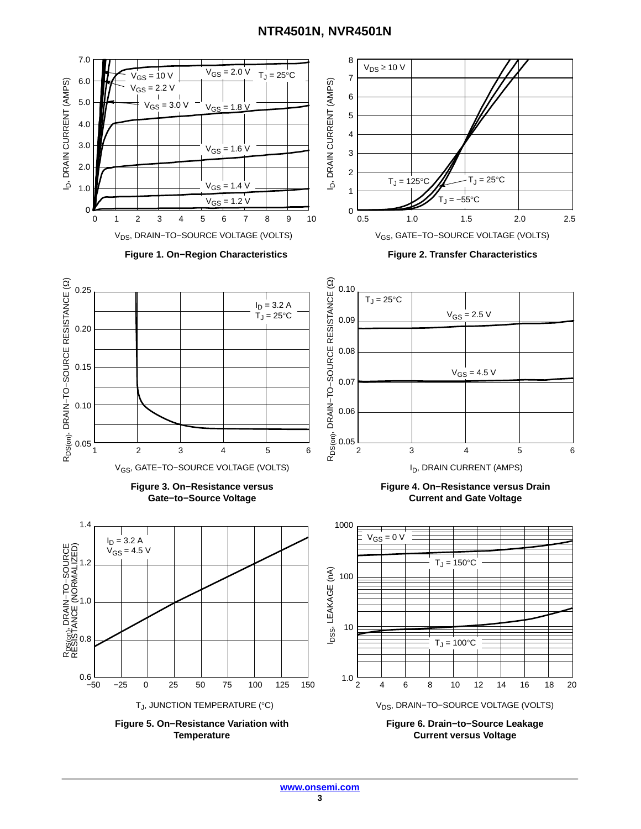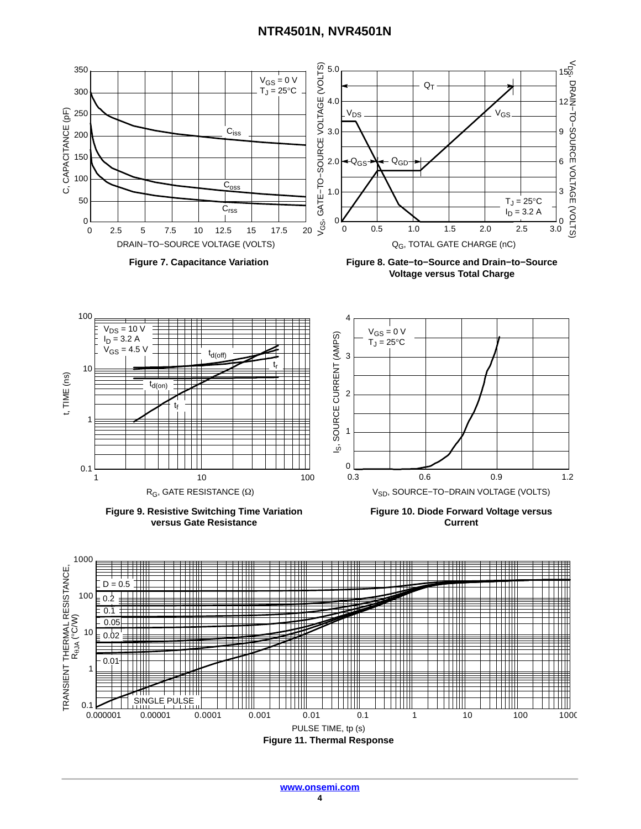